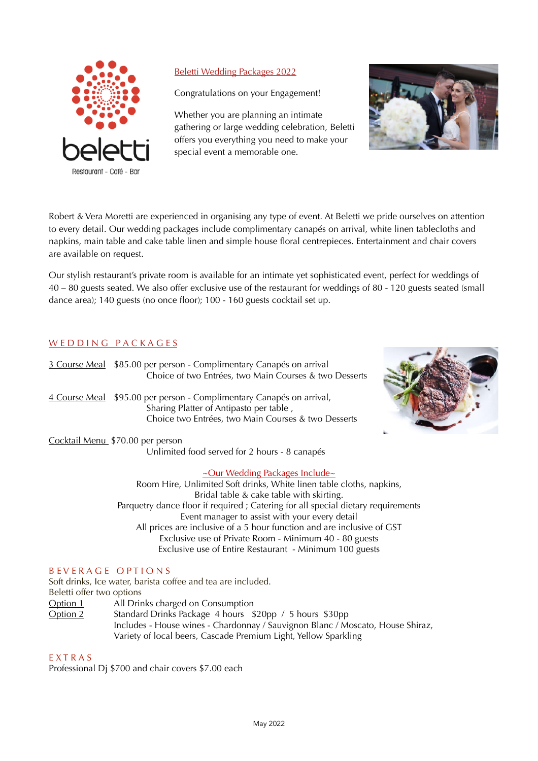

# Beletti Wedding Packages 2022

Congratulations on your Engagement!

Whether you are planning an intimate gathering or large wedding celebration, Beletti offers you everything you need to make your special event a memorable one.



Robert & Vera Moretti are experienced in organising any type of event. At Beletti we pride ourselves on attention to every detail. Our wedding packages include complimentary canapés on arrival, white linen tablecloths and napkins, main table and cake table linen and simple house floral centrepieces. Entertainment and chair covers are available on request.

Our stylish restaurant's private room is available for an intimate yet sophisticated event, perfect for weddings of 40 – 80 guests seated. We also offer exclusive use of the restaurant for weddings of 80 - 120 guests seated (small dance area); 140 guests (no once floor); 100 - 160 guests cocktail set up.

# W E D D I N G P A C K A G E S

| <u>3 Course Meal</u>  | \$85.00 per person - Complimentary Canapés on arrival<br>Choice of two Entrées, two Main Courses & two Desserts                                          |  |
|-----------------------|----------------------------------------------------------------------------------------------------------------------------------------------------------|--|
| <u> 4 Course Meal</u> | \$95.00 per person - Complimentary Canapés on arrival,<br>Sharing Platter of Antipasto per table,<br>Choice two Entrées, two Main Courses & two Desserts |  |
|                       | Cocktail Menu \$70.00 per person<br>Unlimited food served for 2 hours - 8 canapés                                                                        |  |
|                       | $\sim$ Our Wedding Packages Include $\sim$<br>Room Hire, Unlimited Soft drinks, White linen table cloths, napkins,                                       |  |



Room Hire, Unlimited Soft drinks, White linen table cloths, napkins, Bridal table & cake table with skirting. Parquetry dance floor if required ; Catering for all special dietary requirements Event manager to assist with your every detail All prices are inclusive of a 5 hour function and are inclusive of GST Exclusive use of Private Room - Minimum 40 - 80 guests Exclusive use of Entire Restaurant - Minimum 100 guests

### B EVERAGE OPTIONS

Soft drinks, Ice water, barista coffee and tea are included. Beletti offer two options Option 1 All Drinks charged on Consumption Option 2 Standard Drinks Package 4 hours \$20pp / 5 hours \$30pp Includes - House wines - Chardonnay / Sauvignon Blanc / Moscato, House Shiraz, Variety of local beers, Cascade Premium Light, Yellow Sparkling

#### E X T R A S

Professional Dj \$700 and chair covers \$7.00 each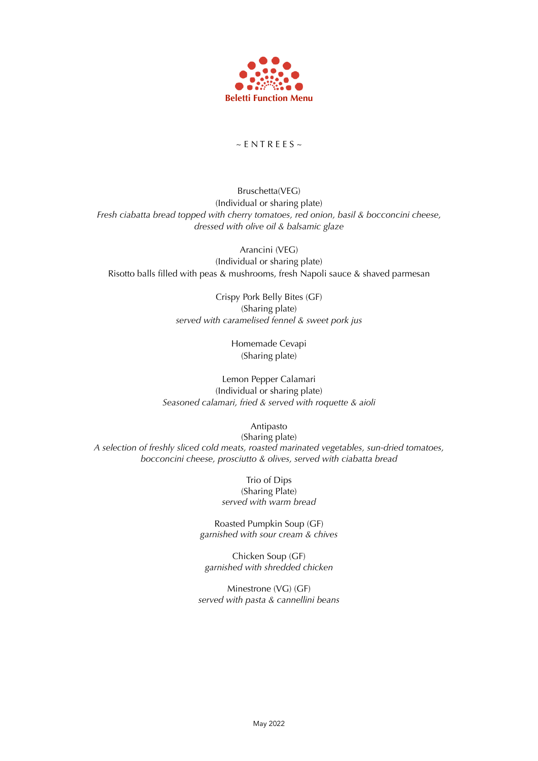

# $~\sim$  E N T R E E S  $~\sim$

Bruschetta(VEG) (Individual or sharing plate) *Fresh ciabatta bread topped with cherry tomatoes, red onion, basil & bocconcini cheese, dressed with olive oil & balsamic glaze*

Arancini (VEG) (Individual or sharing plate) Risotto balls filled with peas & mushrooms, fresh Napoli sauce & shaved parmesan

> Crispy Pork Belly Bites (GF) (Sharing plate) *served with caramelised fennel & sweet pork jus*

> > Homemade Cevapi (Sharing plate)

Lemon Pepper Calamari (Individual or sharing plate) *Seasoned calamari, fried & served with roquette & aioli*

Antipasto

(Sharing plate) *A selection of freshly sliced cold meats, roasted marinated vegetables, sun-dried tomatoes, bocconcini cheese, prosciutto & olives, served with ciabatta bread* 

> Trio of Dips (Sharing Plate) *served with warm bread*

Roasted Pumpkin Soup (GF) *garnished with sour cream & chives*

Chicken Soup (GF) *garnished with shredded chicken* 

Minestrone (VG) (GF) *served with pasta & cannellini beans*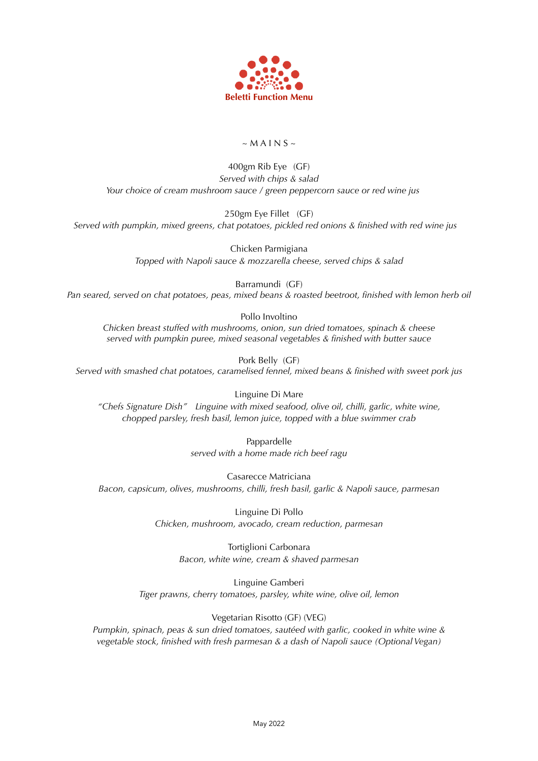

## $~\sim$  M A I N S  $~\sim$

### 400gm Rib Eye (GF) *Served with chips & salad Your choice of cream mushroom sauce / green peppercorn sauce or red wine jus*

250gm Eye Fillet (GF) *Served with pumpkin, mixed greens, chat potatoes, pickled red onions & finished with red wine jus* 

> Chicken Parmigiana *Topped with Napoli sauce & mozzarella cheese, served chips & salad*

Barramundi (GF) *Pan seared, served on chat potatoes, peas, mixed beans & roasted beetroot, finished with lemon herb oil*

Pollo Involtino *Chicken breast stuffed with mushrooms, onion, sun dried tomatoes, spinach & cheese served with pumpkin puree, mixed seasonal vegetables & finished with butter sauce*

Pork Belly (GF) *Served with smashed chat potatoes, caramelised fennel, mixed beans & finished with sweet pork jus*

Linguine Di Mare *"Chefs Signature Dish" Linguine with mixed seafood, olive oil, chilli, garlic, white wine, chopped parsley, fresh basil, lemon juice, topped with a blue swimmer crab* 

> Pappardelle *served with a home made rich beef ragu*

Casarecce Matriciana *Bacon, capsicum, olives, mushrooms, chilli, fresh basil, garlic & Napoli sauce, parmesan*

> Linguine Di Pollo *Chicken, mushroom, avocado, cream reduction, parmesan*

> > Tortiglioni Carbonara *Bacon, white wine, cream & shaved parmesan*

Linguine Gamberi *Tiger prawns, cherry tomatoes, parsley, white wine, olive oil, lemon*

### Vegetarian Risotto (GF) (VEG)

*Pumpkin, spinach, peas & sun dried tomatoes, sautéed with garlic, cooked in white wine & vegetable stock, finished with fresh parmesan & a dash of Napoli sauce (Optional Vegan)*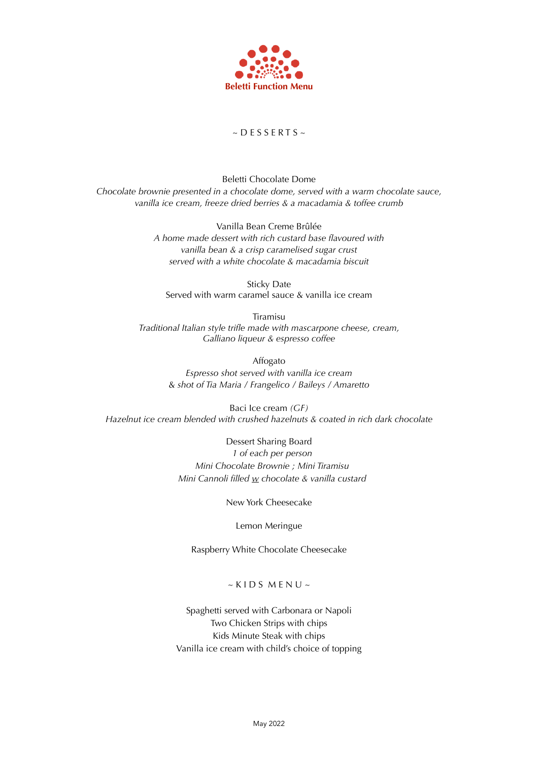

## $\sim$  D E S S E R T S  $\sim$

Beletti Chocolate Dome *Chocolate brownie presented in a chocolate dome, served with a warm chocolate sauce, vanilla ice cream, freeze dried berries & a macadamia & toffee crumb* 

> Vanilla Bean Creme Brûlée *A home made dessert with rich custard base flavoured with vanilla bean & a crisp caramelised sugar crust served with a white chocolate & macadamia biscuit*

Sticky Date Served with warm caramel sauce & vanilla ice cream

Tiramisu *Traditional Italian style trifle made with mascarpone cheese, cream, Galliano liqueur & espresso coffee*

> Affogato *Espresso shot served with vanilla ice cream* & *shot of Tia Maria / Frangelico / Baileys / Amaretto*

Baci Ice cream *(GF) Hazelnut ice cream blended with crushed hazelnuts & coated in rich dark chocolate*

> Dessert Sharing Board *1 of each per person Mini Chocolate Brownie ; Mini Tiramisu Mini Cannoli filled w chocolate & vanilla custard*

> > New York Cheesecake

Lemon Meringue

Raspberry White Chocolate Cheesecake

 $~\sim$  K I D S M E N U  $\sim$ 

Spaghetti served with Carbonara or Napoli Two Chicken Strips with chips Kids Minute Steak with chips Vanilla ice cream with child's choice of topping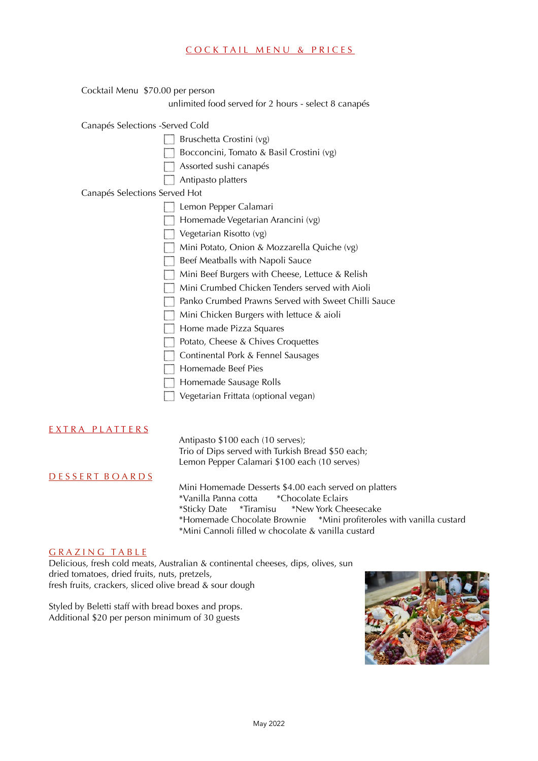#### COCKTAIL MENU & PRICES

| Cocktail Menu \$70.00 per person                     |
|------------------------------------------------------|
| unlimited food served for 2 hours - select 8 canapés |
| Canapés Selections - Served Cold                     |
| Bruschetta Crostini (vg)                             |
| Bocconcini, Tomato & Basil Crostini (vg)             |
| Assorted sushi canapés                               |
| Antipasto platters                                   |
| Canapés Selections Served Hot                        |
| Lemon Pepper Calamari                                |
| Homemade Vegetarian Arancini (vg)                    |
| Vegetarian Risotto (vg)                              |
| Mini Potato, Onion & Mozzarella Quiche (vg)          |
| Beef Meatballs with Napoli Sauce                     |
| Mini Beef Burgers with Cheese, Lettuce & Relish      |
| Mini Crumbed Chicken Tenders served with Aioli       |
| Panko Crumbed Prawns Served with Sweet Chilli Sauce  |
| Mini Chicken Burgers with lettuce & aioli            |
| Home made Pizza Squares                              |
| Potato, Cheese & Chives Croquettes                   |
| Continental Pork & Fennel Sausages                   |
| Homemade Beef Pies                                   |
| Homemade Sausage Rolls                               |
| Vegetarian Frittata (optional vegan)                 |

#### EXTRA PLATTERS

 Antipasto \$100 each (10 serves); Trio of Dips served with Turkish Bread \$50 each; Lemon Pepper Calamari \$100 each (10 serves)

D E S S E R T B O A R D S

 Mini Homemade Desserts \$4.00 each served on platters \*Vanilla Panna cotta \*Chocolate Eclairs \*Sticky Date \*Tiramisu \*New York Cheesecake \*Homemade Chocolate Brownie \*Mini profiteroles with vanilla custard \*Mini Cannoli filled w chocolate & vanilla custard

#### GRAZING TABLE

Delicious, fresh cold meats, Australian & continental cheeses, dips, olives, sun dried tomatoes, dried fruits, nuts, pretzels, fresh fruits, crackers, sliced olive bread & sour dough

Styled by Beletti staff with bread boxes and props. Additional \$20 per person minimum of 30 guests